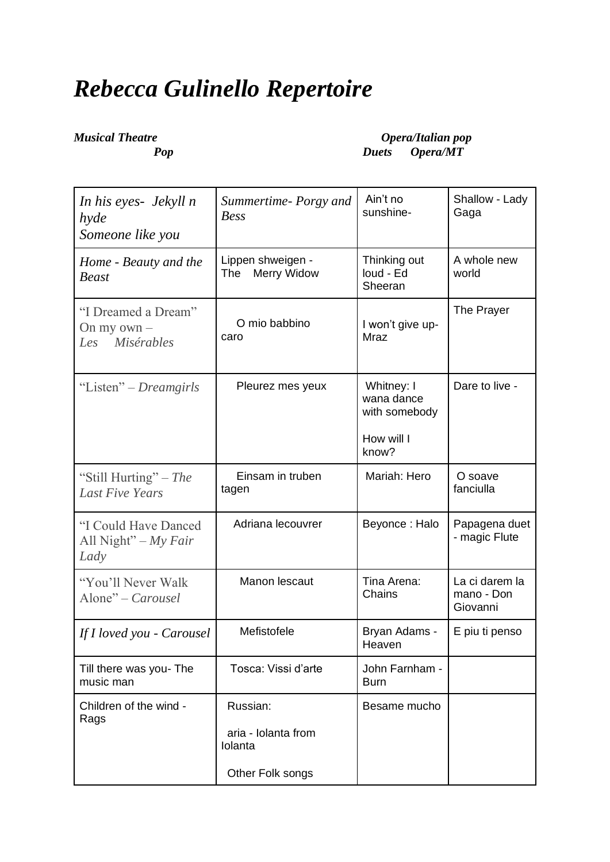## *Rebecca Gulinello Repertoire*

*Musical Theatre Opera/Italian pop*<br>*Pop Pop Duets Opera/MT Pop Duets Opera/MT*

| In his eyes- Jekyll n<br>hyde<br>Someone like you      | Summertime-Porgy and<br><b>Bess</b>                            | Ain't no<br>sunshine-                                            | Shallow - Lady<br>Gaga                   |
|--------------------------------------------------------|----------------------------------------------------------------|------------------------------------------------------------------|------------------------------------------|
| Home - Beauty and the<br><b>Beast</b>                  | Lippen shweigen -<br><b>Merry Widow</b><br>The                 | Thinking out<br>loud - Ed<br>Sheeran                             | A whole new<br>world                     |
| "I Dreamed a Dream"<br>On my own $-$<br>Les Misérables | O mio babbino<br>caro                                          | I won't give up-<br>Mraz                                         | The Prayer                               |
| "Listen" – Dreamgirls                                  | Pleurez mes yeux                                               | Whitney: I<br>wana dance<br>with somebody<br>How will I<br>know? | Dare to live -                           |
| "Still Hurting" – The<br><b>Last Five Years</b>        | Einsam in truben<br>tagen                                      | Mariah: Hero                                                     | O soave<br>fanciulla                     |
| "I Could Have Danced<br>All Night" $-My Fair$<br>Lady  | Adriana lecouvrer                                              | Beyonce: Halo                                                    | Papagena duet<br>- magic Flute           |
| "You'll Never Walk<br>Alone" - Carousel                | Manon lescaut                                                  | Tina Arena:<br>Chains                                            | La ci darem la<br>mano - Don<br>Giovanni |
| If I loved you - Carousel                              | Mefistofele                                                    | Bryan Adams -<br>Heaven                                          | E piu ti penso                           |
| Till there was you- The<br>music man                   | Tosca: Vissi d'arte                                            | John Farnham -<br><b>Burn</b>                                    |                                          |
| Children of the wind -<br>Rags                         | Russian:<br>aria - Iolanta from<br>Iolanta<br>Other Folk songs | Besame mucho                                                     |                                          |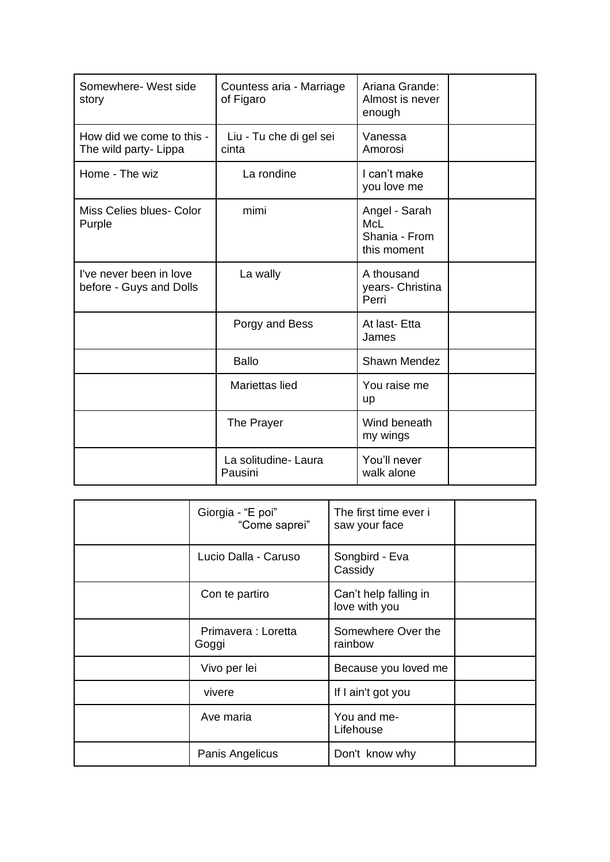| Somewhere- West side<br>story                      | Countess aria - Marriage<br>of Figaro | Ariana Grande:<br>Almost is never<br>enough                 |  |
|----------------------------------------------------|---------------------------------------|-------------------------------------------------------------|--|
| How did we come to this -<br>The wild party- Lippa | Liu - Tu che di gel sei<br>cinta      | Vanessa<br>Amorosi                                          |  |
| Home - The wiz                                     | La rondine                            | I can't make<br>you love me                                 |  |
| Miss Celies blues- Color<br>Purple                 | mimi                                  | Angel - Sarah<br><b>McL</b><br>Shania - From<br>this moment |  |
| I've never been in love<br>before - Guys and Dolls | La wally                              | A thousand<br>years- Christina<br>Perri                     |  |
|                                                    | Porgy and Bess                        | At last-Etta<br>James                                       |  |
|                                                    | <b>Ballo</b>                          | <b>Shawn Mendez</b>                                         |  |
|                                                    | Mariettas lied                        | You raise me<br>up                                          |  |
|                                                    | The Prayer                            | Wind beneath<br>my wings                                    |  |
|                                                    | La solitudine- Laura<br>Pausini       | You'll never<br>walk alone                                  |  |

| Giorgia - "E poi"<br>"Come saprei" | The first time ever i<br>saw your face |  |
|------------------------------------|----------------------------------------|--|
| Lucio Dalla - Caruso               | Songbird - Eva<br>Cassidy              |  |
| Con te partiro                     | Can't help falling in<br>love with you |  |
| Primavera : Loretta<br>Goggi       | Somewhere Over the<br>rainbow          |  |
| Vivo per lei                       | Because you loved me                   |  |
| vivere                             | If I ain't got you                     |  |
| Ave maria                          | You and me-<br>Lifehouse               |  |
| Panis Angelicus                    | Don't know why                         |  |